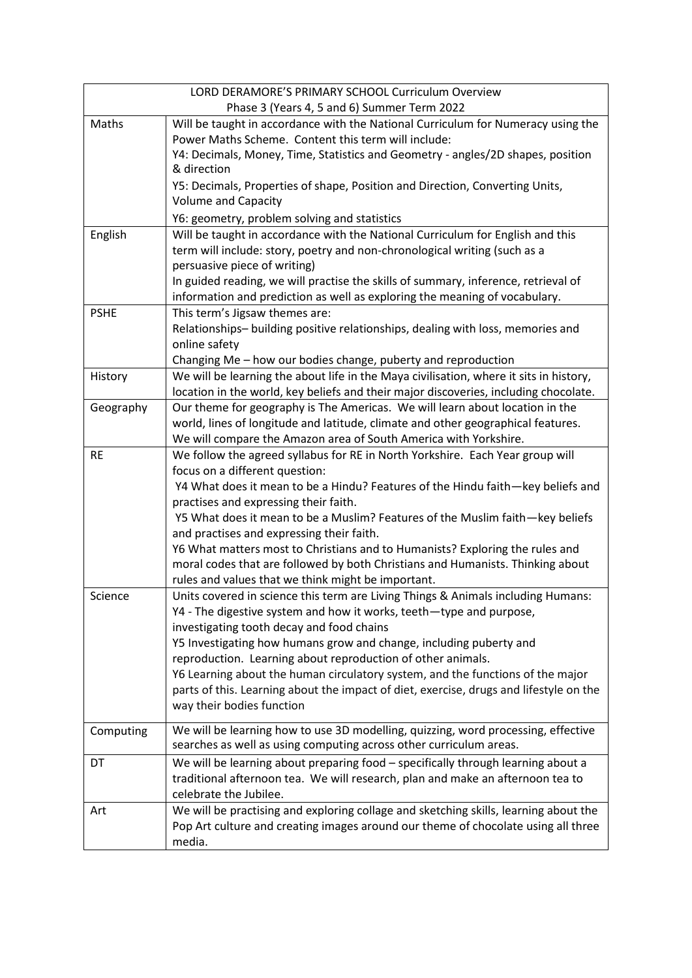| LORD DERAMORE'S PRIMARY SCHOOL Curriculum Overview |                                                                                                                                        |
|----------------------------------------------------|----------------------------------------------------------------------------------------------------------------------------------------|
| Phase 3 (Years 4, 5 and 6) Summer Term 2022        |                                                                                                                                        |
| Maths                                              | Will be taught in accordance with the National Curriculum for Numeracy using the                                                       |
|                                                    | Power Maths Scheme. Content this term will include:                                                                                    |
|                                                    | Y4: Decimals, Money, Time, Statistics and Geometry - angles/2D shapes, position                                                        |
|                                                    | & direction                                                                                                                            |
|                                                    | Y5: Decimals, Properties of shape, Position and Direction, Converting Units,                                                           |
|                                                    | <b>Volume and Capacity</b>                                                                                                             |
|                                                    | Y6: geometry, problem solving and statistics                                                                                           |
| English                                            | Will be taught in accordance with the National Curriculum for English and this                                                         |
|                                                    | term will include: story, poetry and non-chronological writing (such as a<br>persuasive piece of writing)                              |
|                                                    | In guided reading, we will practise the skills of summary, inference, retrieval of                                                     |
|                                                    | information and prediction as well as exploring the meaning of vocabulary.                                                             |
| <b>PSHE</b>                                        | This term's Jigsaw themes are:                                                                                                         |
|                                                    | Relationships- building positive relationships, dealing with loss, memories and                                                        |
|                                                    | online safety                                                                                                                          |
|                                                    | Changing Me - how our bodies change, puberty and reproduction                                                                          |
| History                                            | We will be learning the about life in the Maya civilisation, where it sits in history,                                                 |
|                                                    | location in the world, key beliefs and their major discoveries, including chocolate.                                                   |
| Geography                                          | Our theme for geography is The Americas. We will learn about location in the                                                           |
|                                                    | world, lines of longitude and latitude, climate and other geographical features.                                                       |
|                                                    | We will compare the Amazon area of South America with Yorkshire.                                                                       |
| <b>RE</b>                                          | We follow the agreed syllabus for RE in North Yorkshire. Each Year group will                                                          |
|                                                    | focus on a different question:                                                                                                         |
|                                                    | Y4 What does it mean to be a Hindu? Features of the Hindu faith—key beliefs and                                                        |
|                                                    | practises and expressing their faith.                                                                                                  |
|                                                    | Y5 What does it mean to be a Muslim? Features of the Muslim faith-key beliefs                                                          |
|                                                    | and practises and expressing their faith.                                                                                              |
|                                                    | Y6 What matters most to Christians and to Humanists? Exploring the rules and                                                           |
|                                                    | moral codes that are followed by both Christians and Humanists. Thinking about                                                         |
| Science                                            | rules and values that we think might be important.<br>Units covered in science this term are Living Things & Animals including Humans: |
|                                                    | Y4 - The digestive system and how it works, teeth-type and purpose,                                                                    |
|                                                    | investigating tooth decay and food chains                                                                                              |
|                                                    | Y5 Investigating how humans grow and change, including puberty and                                                                     |
|                                                    | reproduction. Learning about reproduction of other animals.                                                                            |
|                                                    | Y6 Learning about the human circulatory system, and the functions of the major                                                         |
|                                                    | parts of this. Learning about the impact of diet, exercise, drugs and lifestyle on the                                                 |
|                                                    | way their bodies function                                                                                                              |
| Computing                                          | We will be learning how to use 3D modelling, quizzing, word processing, effective                                                      |
|                                                    | searches as well as using computing across other curriculum areas.                                                                     |
| DT                                                 | We will be learning about preparing food - specifically through learning about a                                                       |
|                                                    | traditional afternoon tea. We will research, plan and make an afternoon tea to                                                         |
|                                                    | celebrate the Jubilee.                                                                                                                 |
| Art                                                | We will be practising and exploring collage and sketching skills, learning about the                                                   |
|                                                    | Pop Art culture and creating images around our theme of chocolate using all three                                                      |
|                                                    | media.                                                                                                                                 |